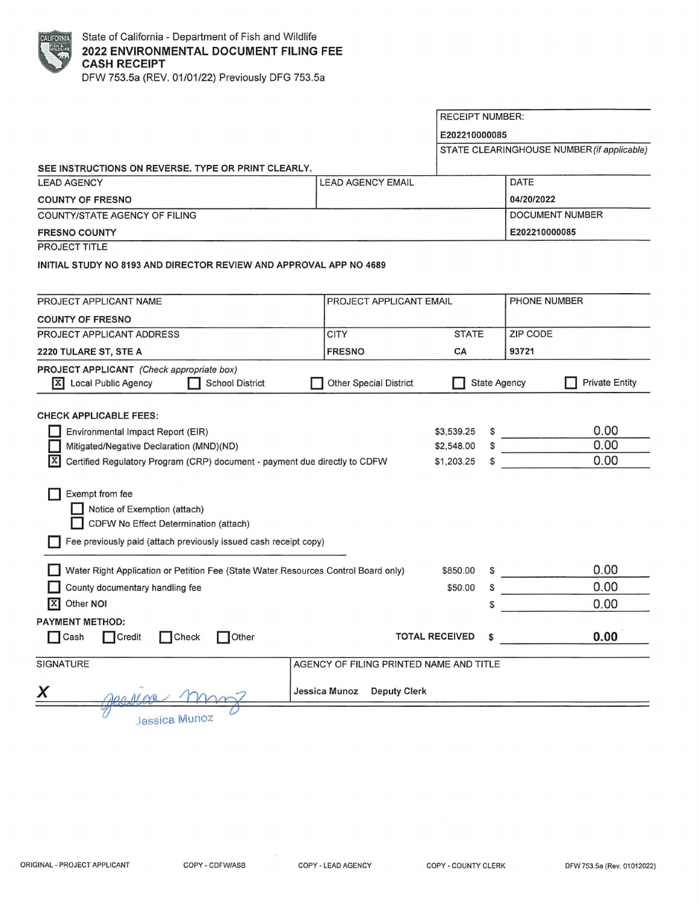| FORN         |
|--------------|
| <b>HALIF</b> |
|              |
|              |

RECEIPT NUMBER: **E202210000085**  STATE CLEARINGHOUSE NUMBER (if applicable) **SEE INSTRUCTIONS ON REVERSE. TYPE OR PRINT CLEARLY.**  LEAD AGENCY LARGERICY LEAD AGENCY EMAIL DATE **COUNTY OF FRESNO 0412012022**  DOCUMENT NUMBER COUNTY/STATE AGENCY OF FILING **FRESNO COUNTY E202210000085**  PROJECT TITLE **INITIAL STUDY NO 8193 AND DIRECTOR REVIEW AND APPROVAL APP NO 4689**  PROJECT APPLICANT NAME PROJECT APPLICANT EMAIL PHONE NUMBER **COUNTY OF FRESNO**  PROJECT APPLICANT ADDRESS **STATE** ZIP CODE **CITY 2220 TULARE ST, STE A FRESNO CA 93721 PROJECT APPLICANT** (Check appropriate box) **12 Local Public Agency D** School District **D** Other Special District **D** State Agency **Private Entity** CHECK APPLICABLE FEES: **D** Environmental Impact Report (EIR) \$3,539.25 0.00 0.00 **Mitigated/Negative Declaration (MND)(ND)** \$2,548.00 0.00 **IX** Certified Regulatory Program (CRP) document - payment due directly to CDFW \$1,203.25 **D** Exempt from fee **D** Notice of Exemption (attach) **D** CDFW No Effect Determination (attach) **D** Fee previously paid (attach previously issued cash receipt copy) **D** Water Right Application or Petition Fee (State Water Resources Control Board only) 0.00 \$850.00  $\mathcal{L}^{\text{max}}$  and  $\mathcal{L}^{\text{max}}$ 0.00 **D** County documentary handling fee \$50.00 **l!I** Other **NOi**  0.00 \$ **PAYMENT METHOD: D** Cash **C**redit Check Other **TOTAL RECEIVED** \$ **0.00**  SIGNATURE AND TITLE AGENCY OF FILING PRINTED NAME AND TITLE **X** Jessica Munoz Deputy Clerk

**Jessica Munoz**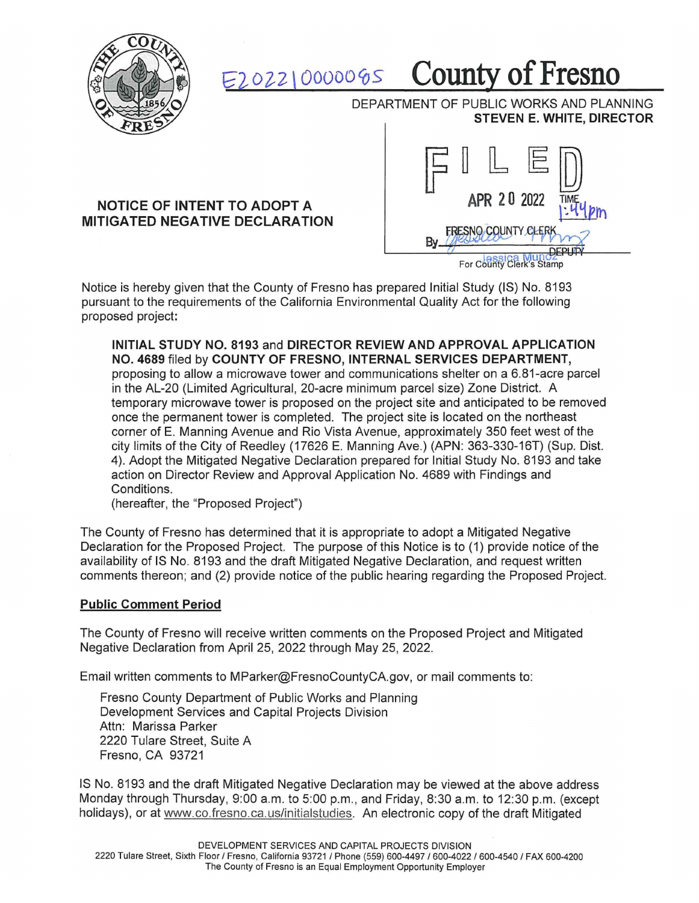

## b"2- oi2 \ oooootos **County of Fresno**

DEPARTMENT OF PUBLIC WORKS AND PLANNING **STEVEN E. WHITE, DIRECTOR** 

## **NOTICE OF INTENT TO ADOPT A MITIGATED NEGATIVE DECLARATION**



Notice is hereby given that the County of Fresno has prepared Initial Study (IS) No. 8193 pursuant to the requirements of the California Environmental Quality Act for the following proposed project:

**INITIAL STUDY NO. 8193** and **DIRECTOR REVIEW AND APPROVAL APPLICATION NO. 4689** filed by **COUNTY OF FRESNO, INTERNAL SERVICES DEPARTMENT,**  proposing to allow a microwave tower and communications shelter on a 6.81-acre parcel in the AL-20 (Limited Agricultural, 20-acre minimum parcel size) Zone District. A temporary microwave tower is proposed on the project site and anticipated to be removed once the permanent tower is completed. The project site is located on the northeast corner of E. Manning Avenue and Rio Vista Avenue, approximately 350 feet west of the city limits of the City of Reedley (17626 E. Manning Ave.) (APN: 363-330-16T) (Sup. Dist. 4). Adopt the Mitigated Negative Declaration prepared for Initial Study No. 8193 and take action on Director Review and Approval Application No. 4689 with Findings and Conditions.

(hereafter, the "Proposed Project")

The County of Fresno has determined that it is appropriate to adopt a Mitigated Negative Declaration for the Proposed Project. The purpose of this Notice is to (1) provide notice of the availability of IS No. 8193 and the draft Mitigated Negative Declaration, and request written comments thereon; and (2) provide notice of the public hearing regarding the Proposed Project.

## **Public Comment Period**

The County of Fresno will receive written comments on the Proposed Project and Mitigated Negative Declaration from April 25, 2022 through May 25, 2022.

Email written comments to MParker@FresnoCountyCA.gov, or mail comments to:

Fresno County Department of Public Works and Planning Development Services and Capital Projects Division Attn: Marissa Parker 2220 Tulare Street, Suite A Fresno, CA 93721

IS No. 8193 and the draft Mitigated Negative Declaration may be viewed at the above address Monday through Thursday, 9:00 a.m. to 5:00 p.m., and Friday, 8:30 a.m. to 12:30 p.m. (except holidays), or at www.co.fresno. ca.us/initialstudies. An electronic copy of the draft Mitigated